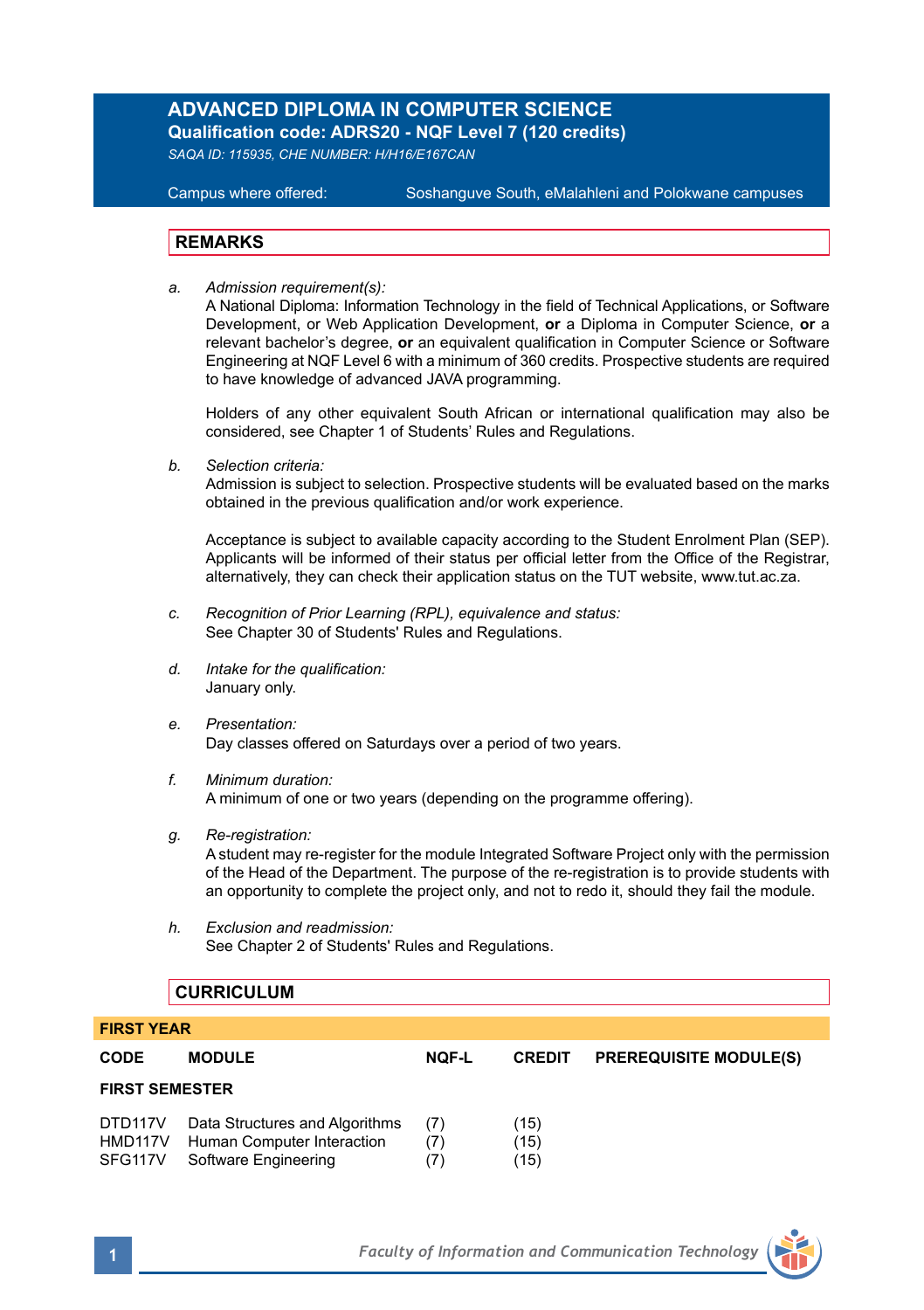# **ADVANCED DIPLOMA IN COMPUTER SCIENCE Qualification code: ADRS20 - NQF Level 7 (120 credits)**

*SAQA ID: 115935, CHE NUMBER: H/H16/E167CAN* 

**Campus where offered:** 

Soshanguve South, eMalahleni and Polokwane campuses

### **REMARKS**

*a. Admission requirement(s):* 

A National Diploma: Information Technology in the field of Technical Applications, or Software Development, or Web Application Development, **or** a Diploma in Computer Science, **or** a relevant bachelor's degree, **or** an equivalent qualification in Computer Science or Software Engineering at NQF Level 6 with a minimum of 360 credits. Prospective students are required to have knowledge of advanced JAVA programming.

Holders of any other equivalent South African or international qualification may also be considered, see Chapter 1 of Students' Rules and Regulations.

*b. Selection criteria:*

Admission is subject to selection. Prospective students will be evaluated based on the marks obtained in the previous qualification and/or work experience.

Acceptance is subject to available capacity according to the Student Enrolment Plan (SEP). Applicants will be informed of their status per official letter from the Office of the Registrar, alternatively, they can check their application status on the TUT website, www.tut.ac.za.

- *c. Recognition of Prior Learning (RPL), equivalence and status:* See Chapter 30 of Students' Rules and Regulations.
- *d. Intake for the qualification:* January only.
- *e. Presentation:* Day classes offered on Saturdays over a period of two years.
- *f. Minimum duration:* A minimum of one or two years (depending on the programme offering).
- *g. Re-registration:*

A student may re-register for the module Integrated Software Project only with the permission of the Head of the Department. The purpose of the re-registration is to provide students with an opportunity to complete the project only, and not to redo it, should they fail the module.

*h. Exclusion and readmission:* See Chapter 2 of Students' Rules and Regulations.

# **CURRICULUM**

| <b>FIRST YEAR</b>     |                                                                                              |                   |                      |                               |  |  |  |
|-----------------------|----------------------------------------------------------------------------------------------|-------------------|----------------------|-------------------------------|--|--|--|
| <b>CODE</b>           | <b>MODULE</b>                                                                                | <b>NOF-L</b>      | <b>CREDIT</b>        | <b>PREREQUISITE MODULE(S)</b> |  |  |  |
| <b>FIRST SEMESTER</b> |                                                                                              |                   |                      |                               |  |  |  |
| DTD117V<br>SFG117V    | Data Structures and Algorithms<br>HMD117V Human Computer Interaction<br>Software Engineering | (7)<br>(7)<br>(7) | (15)<br>(15)<br>(15) |                               |  |  |  |

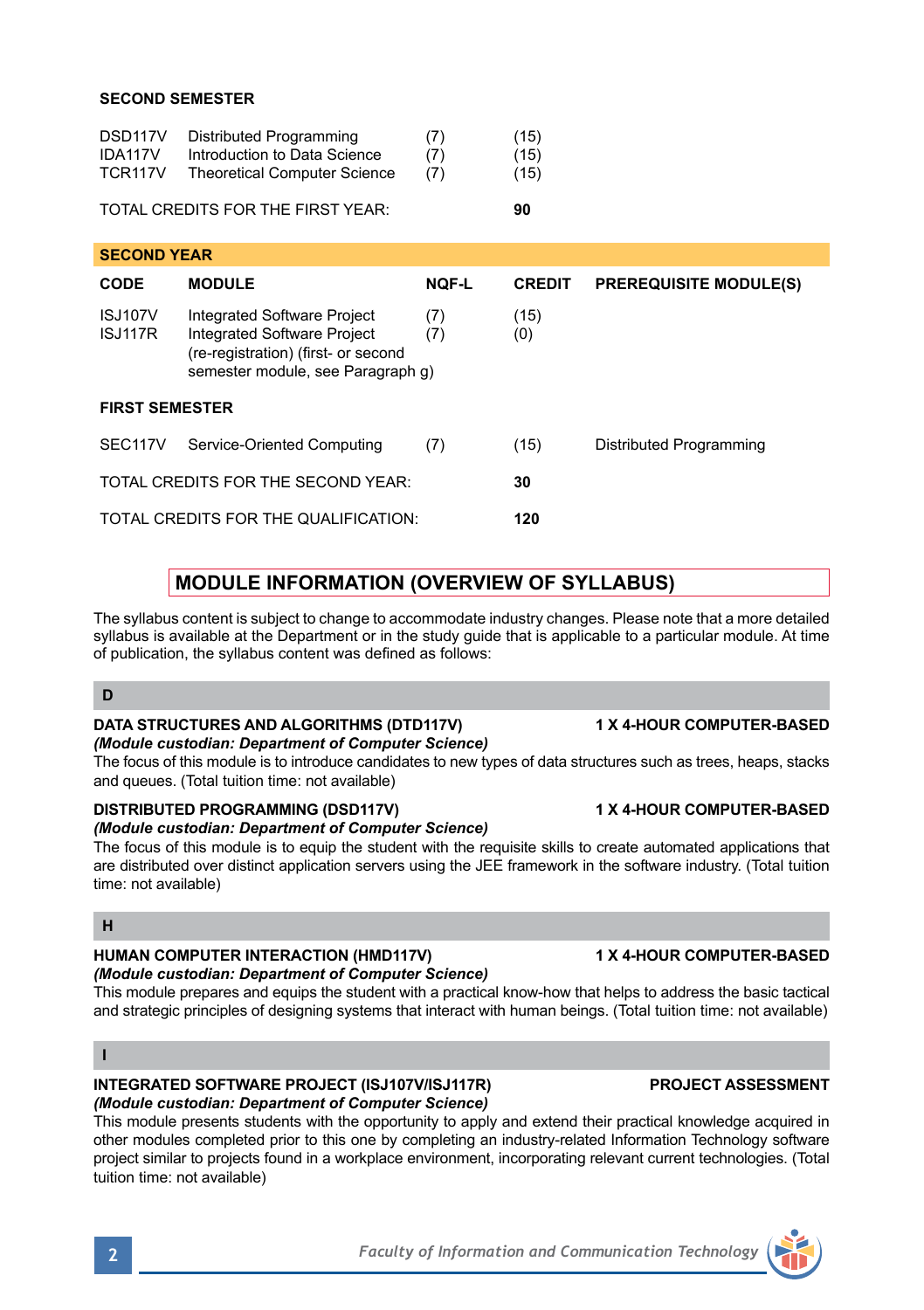### **SECOND SEMESTER**

| DSD117V | Distributed Programming             | (7) | (15) |
|---------|-------------------------------------|-----|------|
| IDA117V | Introduction to Data Science        | (7) | (15) |
| TCR117V | <b>Theoretical Computer Science</b> | (7) | (15) |

### TOTAL CREDITS FOR THE FIRST YEAR: **90**

| <b>SECOND YEAR</b>               |                                                                                                                                        |              |               |                               |  |  |  |  |
|----------------------------------|----------------------------------------------------------------------------------------------------------------------------------------|--------------|---------------|-------------------------------|--|--|--|--|
| <b>CODE</b>                      | <b>MODULE</b>                                                                                                                          | <b>NOF-L</b> | <b>CREDIT</b> | <b>PREREQUISITE MODULE(S)</b> |  |  |  |  |
| <b>ISJ107V</b><br><b>ISJ117R</b> | Integrated Software Project<br>Integrated Software Project<br>(re-registration) (first- or second<br>semester module, see Paragraph q) | (7)<br>(7)   | (15)<br>(0)   |                               |  |  |  |  |
| <b>FIRST SEMESTER</b>            |                                                                                                                                        |              |               |                               |  |  |  |  |
| SEC <sub>117V</sub>              | Service-Oriented Computing                                                                                                             | (7)          | (15)          | Distributed Programming       |  |  |  |  |
|                                  | TOTAL CREDITS FOR THE SECOND YEAR:                                                                                                     | 30           |               |                               |  |  |  |  |
|                                  | TOTAL CREDITS FOR THE QUALIFICATION:                                                                                                   | 120          |               |                               |  |  |  |  |

# **MODULE INFORMATION (OVERVIEW OF SYLLABUS)**

The syllabus content is subject to change to accommodate industry changes. Please note that a more detailed syllabus is available at the Department or in the study guide that is applicable to a particular module. At time of publication, the syllabus content was defined as follows:

### **D**

# **DATA STRUCTURES AND ALGORITHMS (DTD117V) 1 X 4-HOUR COMPUTER-BASED**

### *(Module custodian: Department of Computer Science)*

The focus of this module is to introduce candidates to new types of data structures such as trees, heaps, stacks and queues. (Total tuition time: not available)

# **DISTRIBUTED PROGRAMMING (DSD117V) 1 X 4-HOUR COMPUTER-BASED**

## *(Module custodian: Department of Computer Science)*

The focus of this module is to equip the student with the requisite skills to create automated applications that are distributed over distinct application servers using the JEE framework in the software industry. (Total tuition time: not available)

### **H**

# **HUMAN COMPUTER INTERACTION (HMD117V) 1 X 4-HOUR COMPUTER-BASED**

### *(Module custodian: Department of Computer Science)*

This module prepares and equips the student with a practical know-how that helps to address the basic tactical and strategic principles of designing systems that interact with human beings. (Total tuition time: not available)

### **I**

### **INTEGRATED SOFTWARE PROJECT (ISJ107V/ISJ117R) PROJECT ASSESSMENT** *(Module custodian: Department of Computer Science)*

This module presents students with the opportunity to apply and extend their practical knowledge acquired in other modules completed prior to this one by completing an industry-related Information Technology software project similar to projects found in a workplace environment, incorporating relevant current technologies. (Total tuition time: not available)